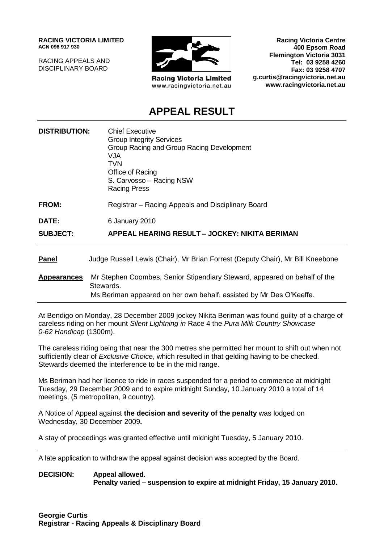**RACING VICTORIA LIMITED ACN 096 917 930**

RACING APPEALS AND DISCIPLINARY BOARD



**Racing Victoria Limited** www.racingvictoria.net.au

**Racing Victoria Centre 400 Epsom Road Flemington Victoria 3031 Tel: 03 9258 4260 Fax: 03 9258 4707 g.curtis@racingvictoria.net.au www.racingvictoria.net.au**

# **APPEAL RESULT**

| <b>DISTRIBUTION:</b> | <b>Chief Executive</b><br><b>Group Integrity Services</b><br>Group Racing and Group Racing Development<br><b>VJA</b><br><b>TVN</b><br>Office of Racing<br>S. Carvosso - Racing NSW<br><b>Racing Press</b> |
|----------------------|-----------------------------------------------------------------------------------------------------------------------------------------------------------------------------------------------------------|
| FROM:                | Registrar – Racing Appeals and Disciplinary Board                                                                                                                                                         |
| DATE:                | 6 January 2010                                                                                                                                                                                            |
| <b>SUBJECT:</b>      | APPEAL HEARING RESULT - JOCKEY: NIKITA BERIMAN                                                                                                                                                            |
| <b>Panel</b>         | Judge Russell Lewis (Chair), Mr Brian Forrest (Deputy Chair), Mr Bill Kneebone                                                                                                                            |
| <b>Appearances</b>   | Mr Stephen Coombes, Senior Stipendiary Steward, appeared on behalf of the<br>Stewards.                                                                                                                    |
|                      | Ms Beriman appeared on her own behalf, assisted by Mr Des O'Keeffe.                                                                                                                                       |

At Bendigo on Monday, 28 December 2009 jockey Nikita Beriman was found guilty of a charge of careless riding on her mount *Silent Lightning in* Race 4 the *Pura Milk Country Showcase 0-62 Handicap* (1300m).

The careless riding being that near the 300 metres she permitted her mount to shift out when not sufficiently clear of *Exclusive Choice*, which resulted in that gelding having to be checked. Stewards deemed the interference to be in the mid range.

Ms Beriman had her licence to ride in races suspended for a period to commence at midnight Tuesday, 29 December 2009 and to expire midnight Sunday, 10 January 2010 a total of 14 meetings, (5 metropolitan, 9 country).

A Notice of Appeal against **the decision and severity of the penalty** was lodged on Wednesday, 30 December 2009**.**

A stay of proceedings was granted effective until midnight Tuesday, 5 January 2010.

A late application to withdraw the appeal against decision was accepted by the Board.

**DECISION: Appeal allowed. Penalty varied – suspension to expire at midnight Friday, 15 January 2010.**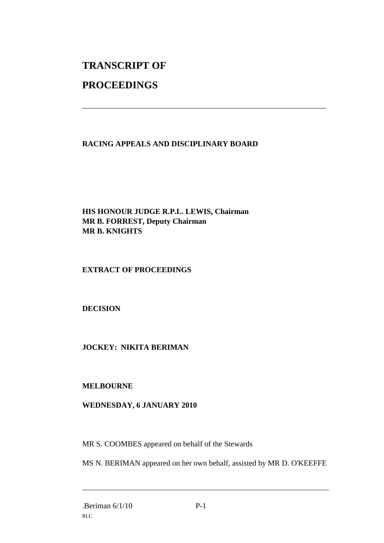# **TRANSCRIPT OF PROCEEDINGS**

## **RACING APPEALS AND DISCIPLINARY BOARD**

\_\_\_\_\_\_\_\_\_\_\_\_\_\_\_\_\_\_\_\_\_\_\_\_\_\_\_\_\_\_\_\_\_\_\_\_\_\_\_\_\_\_\_\_\_\_\_\_\_\_\_\_\_\_\_\_\_\_\_\_\_\_\_

**HIS HONOUR JUDGE R.P.L. LEWIS, Chairman MR B. FORREST, Deputy Chairman MR B. KNIGHTS**

#### **EXTRACT OF PROCEEDINGS**

**DECISION**

## **JOCKEY: NIKITA BERIMAN**

#### **MELBOURNE**

## **WEDNESDAY, 6 JANUARY 2010**

MR S. COOMBES appeared on behalf of the Stewards

MS N. BERIMAN appeared on her own behalf, assisted by MR D. O'KEEFFE